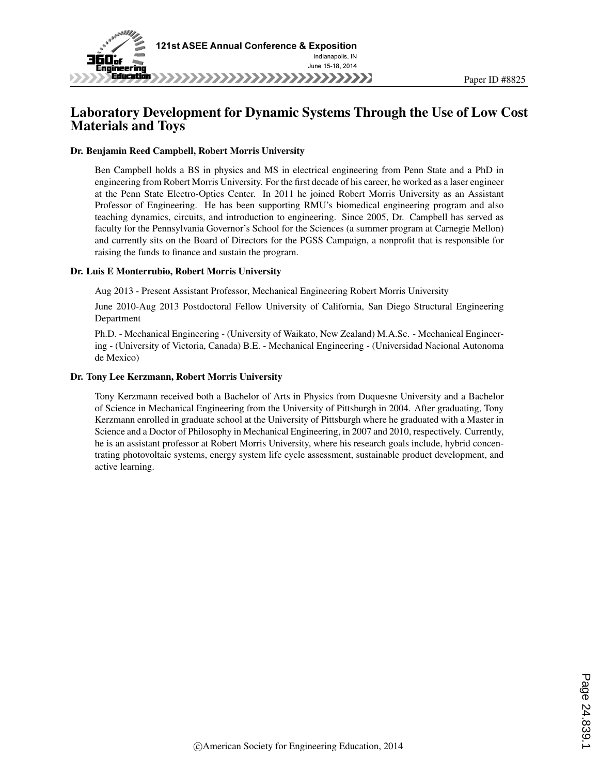

## Laboratory Development for Dynamic Systems Through the Use of Low Cost Materials and Toys

#### Dr. Benjamin Reed Campbell, Robert Morris University

Ben Campbell holds a BS in physics and MS in electrical engineering from Penn State and a PhD in engineering from Robert Morris University. For the first decade of his career, he worked as a laser engineer at the Penn State Electro-Optics Center. In 2011 he joined Robert Morris University as an Assistant Professor of Engineering. He has been supporting RMU's biomedical engineering program and also teaching dynamics, circuits, and introduction to engineering. Since 2005, Dr. Campbell has served as faculty for the Pennsylvania Governor's School for the Sciences (a summer program at Carnegie Mellon) and currently sits on the Board of Directors for the PGSS Campaign, a nonprofit that is responsible for raising the funds to finance and sustain the program.

#### Dr. Luis E Monterrubio, Robert Morris University

Aug 2013 - Present Assistant Professor, Mechanical Engineering Robert Morris University

June 2010-Aug 2013 Postdoctoral Fellow University of California, San Diego Structural Engineering Department

Ph.D. - Mechanical Engineering - (University of Waikato, New Zealand) M.A.Sc. - Mechanical Engineering - (University of Victoria, Canada) B.E. - Mechanical Engineering - (Universidad Nacional Autonoma de Mexico)

#### Dr. Tony Lee Kerzmann, Robert Morris University

Tony Kerzmann received both a Bachelor of Arts in Physics from Duquesne University and a Bachelor of Science in Mechanical Engineering from the University of Pittsburgh in 2004. After graduating, Tony Kerzmann enrolled in graduate school at the University of Pittsburgh where he graduated with a Master in Science and a Doctor of Philosophy in Mechanical Engineering, in 2007 and 2010, respectively. Currently, he is an assistant professor at Robert Morris University, where his research goals include, hybrid concentrating photovoltaic systems, energy system life cycle assessment, sustainable product development, and active learning.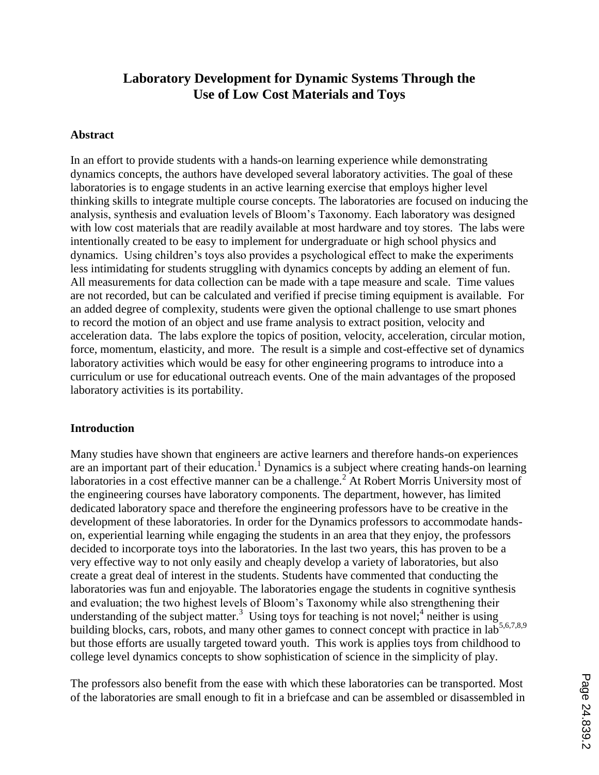## **Laboratory Development for Dynamic Systems Through the Use of Low Cost Materials and Toys**

#### **Abstract**

In an effort to provide students with a hands-on learning experience while demonstrating dynamics concepts, the authors have developed several laboratory activities. The goal of these laboratories is to engage students in an active learning exercise that employs higher level thinking skills to integrate multiple course concepts. The laboratories are focused on inducing the analysis, synthesis and evaluation levels of Bloom's Taxonomy. Each laboratory was designed with low cost materials that are readily available at most hardware and toy stores. The labs were intentionally created to be easy to implement for undergraduate or high school physics and dynamics. Using children's toys also provides a psychological effect to make the experiments less intimidating for students struggling with dynamics concepts by adding an element of fun. All measurements for data collection can be made with a tape measure and scale. Time values are not recorded, but can be calculated and verified if precise timing equipment is available. For an added degree of complexity, students were given the optional challenge to use smart phones to record the motion of an object and use frame analysis to extract position, velocity and acceleration data. The labs explore the topics of position, velocity, acceleration, circular motion, force, momentum, elasticity, and more. The result is a simple and cost-effective set of dynamics laboratory activities which would be easy for other engineering programs to introduce into a curriculum or use for educational outreach events. One of the main advantages of the proposed laboratory activities is its portability.

#### **Introduction**

Many studies have shown that engineers are active learners and therefore hands-on experiences are an important part of their education.<sup>1</sup> Dynamics is a subject where creating hands-on learning laboratories in a cost effective manner can be a challenge.<sup>2</sup> At Robert Morris University most of the engineering courses have laboratory components. The department, however, has limited dedicated laboratory space and therefore the engineering professors have to be creative in the development of these laboratories. In order for the Dynamics professors to accommodate handson, experiential learning while engaging the students in an area that they enjoy, the professors decided to incorporate toys into the laboratories. In the last two years, this has proven to be a very effective way to not only easily and cheaply develop a variety of laboratories, but also create a great deal of interest in the students. Students have commented that conducting the laboratories was fun and enjoyable. The laboratories engage the students in cognitive synthesis and evaluation; the two highest levels of Bloom's Taxonomy while also strengthening their understanding of the subject matter.<sup>3</sup> Using toys for teaching is not novel;<sup>4</sup> neither is using building blocks, cars, robots, and many other games to connect concept with practice in lab<sup>5,6,7,8,9</sup> but those efforts are usually targeted toward youth. This work is applies toys from childhood to college level dynamics concepts to show sophistication of science in the simplicity of play.

The professors also benefit from the ease with which these laboratories can be transported. Most of the laboratories are small enough to fit in a briefcase and can be assembled or disassembled in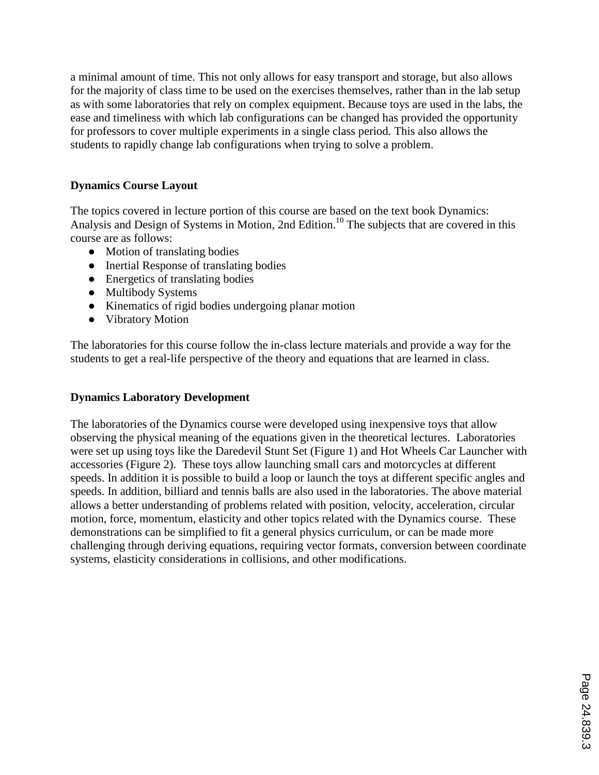a minimal amount of time. This not only allows for easy transport and storage, but also allows for the majority of class time to be used on the exercises themselves, rather than in the lab setup as with some laboratories that rely on complex equipment. Because toys are used in the labs, the ease and timeliness with which lab configurations can be changed has provided the opportunity for professors to cover multiple experiments in a single class period. This also allows the students to rapidly change lab configurations when trying to solve a problem.

### **Dynamics Course Layout**

The topics covered in lecture portion of this course are based on the text book Dynamics: Analysis and Design of Systems in Motion, 2nd Edition.<sup>10</sup> The subjects that are covered in this course are as follows:

- Motion of translating bodies
- Inertial Response of translating bodies
- Energetics of translating bodies
- Multibody Systems
- Kinematics of rigid bodies undergoing planar motion
- Vibratory Motion

The laboratories for this course follow the in-class lecture materials and provide a way for the students to get a real-life perspective of the theory and equations that are learned in class.

#### **Dynamics Laboratory Development**

The laboratories of the Dynamics course were developed using inexpensive toys that allow observing the physical meaning of the equations given in the theoretical lectures. Laboratories were set up using toys like the Daredevil Stunt Set (Figure 1) and Hot Wheels Car Launcher with accessories (Figure 2). These toys allow launching small cars and motorcycles at different speeds. In addition it is possible to build a loop or launch the toys at different specific angles and speeds. In addition, billiard and tennis balls are also used in the laboratories. The above material allows a better understanding of problems related with position, velocity, acceleration, circular motion, force, momentum, elasticity and other topics related with the Dynamics course. These demonstrations can be simplified to fit a general physics curriculum, or can be made more challenging through deriving equations, requiring vector formats, conversion between coordinate systems, elasticity considerations in collisions, and other modifications.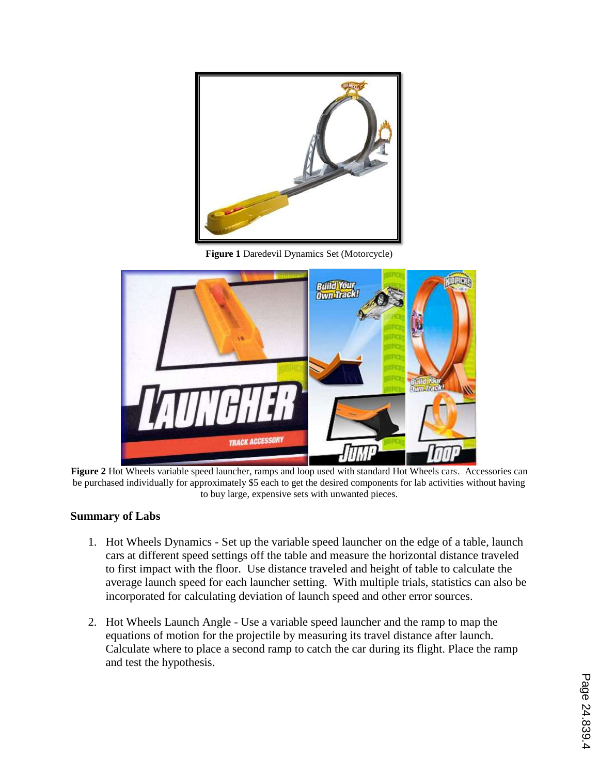

**Figure 1** Daredevil Dynamics Set (Motorcycle)



**Figure 2** Hot Wheels variable speed launcher, ramps and loop used with standard Hot Wheels cars. Accessories can be purchased individually for approximately \$5 each to get the desired components for lab activities without having to buy large, expensive sets with unwanted pieces.

#### **Summary of Labs**

- 1. Hot Wheels Dynamics Set up the variable speed launcher on the edge of a table, launch cars at different speed settings off the table and measure the horizontal distance traveled to first impact with the floor. Use distance traveled and height of table to calculate the average launch speed for each launcher setting. With multiple trials, statistics can also be incorporated for calculating deviation of launch speed and other error sources.
- 2. Hot Wheels Launch Angle Use a variable speed launcher and the ramp to map the equations of motion for the projectile by measuring its travel distance after launch. Calculate where to place a second ramp to catch the car during its flight. Place the ramp and test the hypothesis.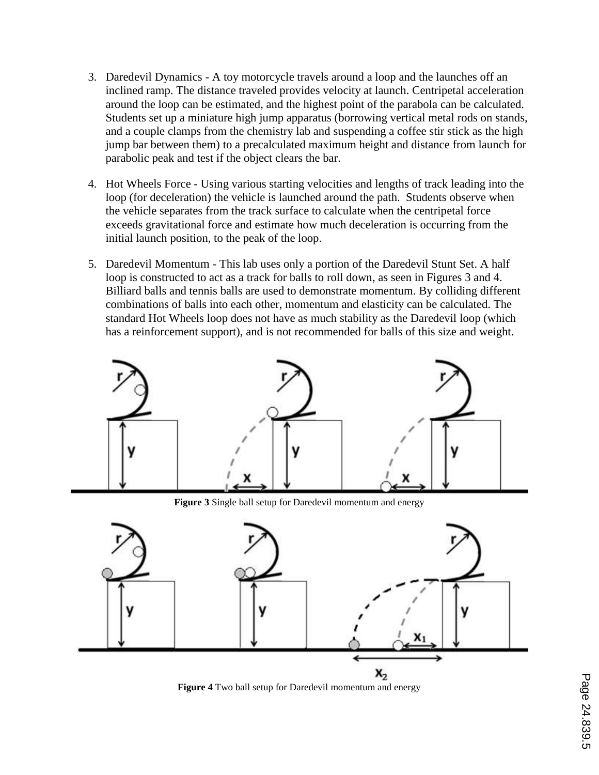- 3. Daredevil Dynamics A toy motorcycle travels around a loop and the launches off an inclined ramp. The distance traveled provides velocity at launch. Centripetal acceleration around the loop can be estimated, and the highest point of the parabola can be calculated. Students set up a miniature high jump apparatus (borrowing vertical metal rods on stands, and a couple clamps from the chemistry lab and suspending a coffee stir stick as the high jump bar between them) to a precalculated maximum height and distance from launch for parabolic peak and test if the object clears the bar.
- 4. Hot Wheels Force Using various starting velocities and lengths of track leading into the loop (for deceleration) the vehicle is launched around the path. Students observe when the vehicle separates from the track surface to calculate when the centripetal force exceeds gravitational force and estimate how much deceleration is occurring from the initial launch position, to the peak of the loop.
- 5. Daredevil Momentum This lab uses only a portion of the Daredevil Stunt Set. A half loop is constructed to act as a track for balls to roll down, as seen in Figures 3 and 4. Billiard balls and tennis balls are used to demonstrate momentum. By colliding different combinations of balls into each other, momentum and elasticity can be calculated. The standard Hot Wheels loop does not have as much stability as the Daredevil loop (which has a reinforcement support), and is not recommended for balls of this size and weight.



**Figure 3** Single ball setup for Daredevil momentum and energy



**Figure 4** Two ball setup for Daredevil momentum and energy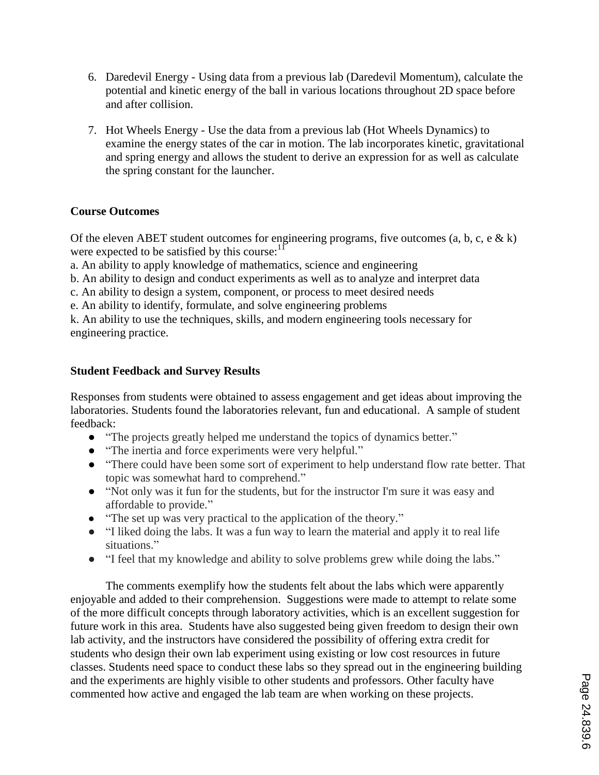- 6. Daredevil Energy Using data from a previous lab (Daredevil Momentum), calculate the potential and kinetic energy of the ball in various locations throughout 2D space before and after collision.
- 7. Hot Wheels Energy Use the data from a previous lab (Hot Wheels Dynamics) to examine the energy states of the car in motion. The lab incorporates kinetic, gravitational and spring energy and allows the student to derive an expression for as well as calculate the spring constant for the launcher.

#### **Course Outcomes**

Of the eleven ABET student outcomes for engineering programs, five outcomes (a, b, c, e  $\& k$ ) were expected to be satisfied by this course: $11$ 

a. An ability to apply knowledge of mathematics, science and engineering

b. An ability to design and conduct experiments as well as to analyze and interpret data

c. An ability to design a system, component, or process to meet desired needs

e. An ability to identify, formulate, and solve engineering problems

k. An ability to use the techniques, skills, and modern engineering tools necessary for engineering practice.

#### **Student Feedback and Survey Results**

Responses from students were obtained to assess engagement and get ideas about improving the laboratories. Students found the laboratories relevant, fun and educational. A sample of student feedback:

- "The projects greatly helped me understand the topics of dynamics better."
- "The inertia and force experiments were very helpful."
- "There could have been some sort of experiment to help understand flow rate better. That topic was somewhat hard to comprehend."
- "Not only was it fun for the students, but for the instructor I'm sure it was easy and affordable to provide."
- "The set up was very practical to the application of the theory."
- "I liked doing the labs. It was a fun way to learn the material and apply it to real life situations."
- "I feel that my knowledge and ability to solve problems grew while doing the labs."

The comments exemplify how the students felt about the labs which were apparently enjoyable and added to their comprehension. Suggestions were made to attempt to relate some of the more difficult concepts through laboratory activities, which is an excellent suggestion for future work in this area. Students have also suggested being given freedom to design their own lab activity, and the instructors have considered the possibility of offering extra credit for students who design their own lab experiment using existing or low cost resources in future classes. Students need space to conduct these labs so they spread out in the engineering building and the experiments are highly visible to other students and professors. Other faculty have commented how active and engaged the lab team are when working on these projects.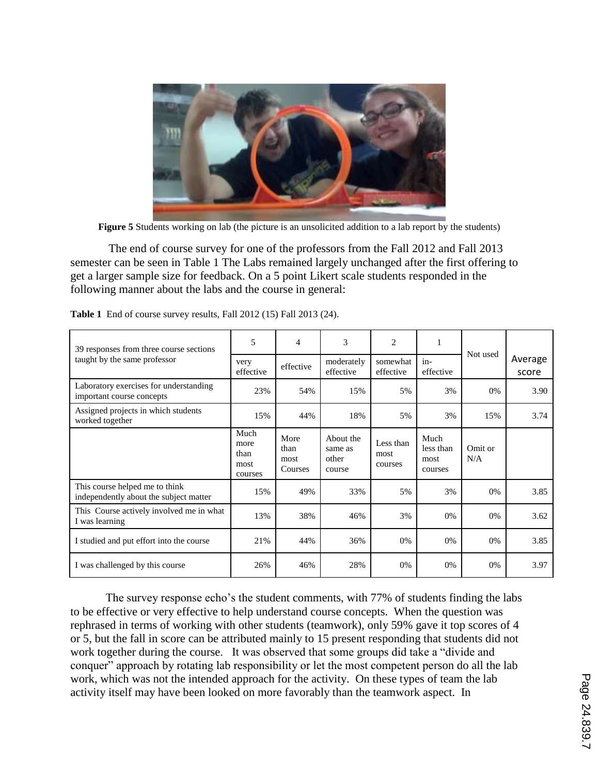

**Figure 5** Students working on lab (the picture is an unsolicited addition to a lab report by the students)

The end of course survey for one of the professors from the Fall 2012 and Fall 2013 semester can be seen in Table 1 The Labs remained largely unchanged after the first offering to get a larger sample size for feedback. On a 5 point Likert scale students responded in the following manner about the labs and the course in general:

| 39 responses from three course sections                                  | 5                                       | $\overline{4}$                  | 3                                       | $\overline{c}$               | 1                                    |                |                  |
|--------------------------------------------------------------------------|-----------------------------------------|---------------------------------|-----------------------------------------|------------------------------|--------------------------------------|----------------|------------------|
| taught by the same professor                                             | very<br>effective                       | effective                       | moderately<br>effective                 | somewhat<br>effective        | $in-$<br>effective                   | Not used       | Average<br>score |
| Laboratory exercises for understanding<br>important course concepts      | 23%                                     | 54%                             | 15%                                     | 5%                           | 3%                                   | 0%             | 3.90             |
| Assigned projects in which students<br>worked together                   | 15%                                     | 44%                             | 18%                                     | 5%                           | 3%                                   | 15%            | 3.74             |
|                                                                          | Much<br>more<br>than<br>most<br>courses | More<br>than<br>most<br>Courses | About the<br>same as<br>other<br>course | Less than<br>most<br>courses | Much<br>less than<br>most<br>courses | Omit or<br>N/A |                  |
| This course helped me to think<br>independently about the subject matter | 15%                                     | 49%                             | 33%                                     | 5%                           | 3%                                   | 0%             | 3.85             |
| This Course actively involved me in what<br>I was learning               | 13%                                     | 38%                             | 46%                                     | 3%                           | $0\%$                                | 0%             | 3.62             |
| I studied and put effort into the course                                 | 21%                                     | 44%                             | 36%                                     | 0%                           | 0%                                   | 0%             | 3.85             |
| I was challenged by this course                                          | 26%                                     | 46%                             | 28%                                     | 0%                           | 0%                                   | 0%             | 3.97             |

**Table 1** End of course survey results, Fall 2012 (15) Fall 2013 (24).

The survey response echo's the student comments, with 77% of students finding the labs to be effective or very effective to help understand course concepts. When the question was rephrased in terms of working with other students (teamwork), only 59% gave it top scores of 4 or 5, but the fall in score can be attributed mainly to 15 present responding that students did not work together during the course. It was observed that some groups did take a "divide and conquer" approach by rotating lab responsibility or let the most competent person do all the lab work, which was not the intended approach for the activity. On these types of team the lab activity itself may have been looked on more favorably than the teamwork aspect. In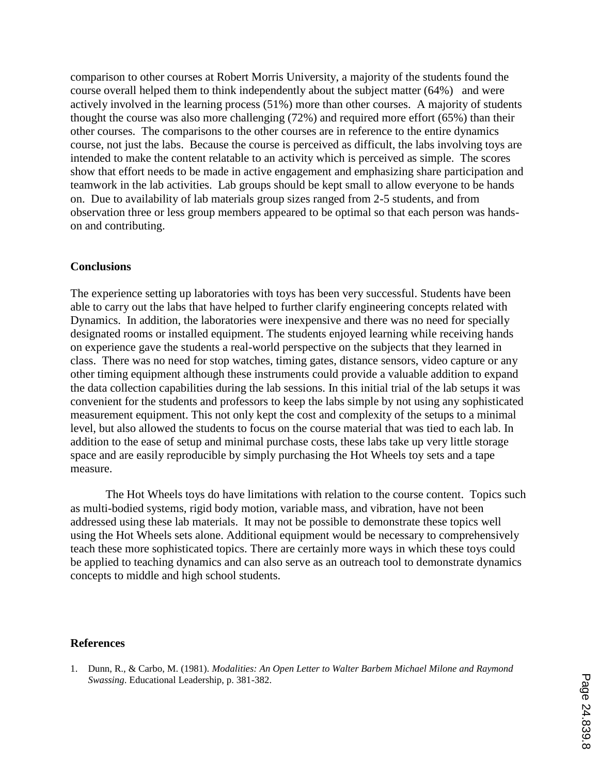comparison to other courses at Robert Morris University, a majority of the students found the course overall helped them to think independently about the subject matter (64%) and were actively involved in the learning process (51%) more than other courses. A majority of students thought the course was also more challenging (72%) and required more effort (65%) than their other courses. The comparisons to the other courses are in reference to the entire dynamics course, not just the labs. Because the course is perceived as difficult, the labs involving toys are intended to make the content relatable to an activity which is perceived as simple. The scores show that effort needs to be made in active engagement and emphasizing share participation and teamwork in the lab activities. Lab groups should be kept small to allow everyone to be hands on. Due to availability of lab materials group sizes ranged from 2-5 students, and from observation three or less group members appeared to be optimal so that each person was handson and contributing.

#### **Conclusions**

The experience setting up laboratories with toys has been very successful. Students have been able to carry out the labs that have helped to further clarify engineering concepts related with Dynamics. In addition, the laboratories were inexpensive and there was no need for specially designated rooms or installed equipment. The students enjoyed learning while receiving hands on experience gave the students a real-world perspective on the subjects that they learned in class. There was no need for stop watches, timing gates, distance sensors, video capture or any other timing equipment although these instruments could provide a valuable addition to expand the data collection capabilities during the lab sessions. In this initial trial of the lab setups it was convenient for the students and professors to keep the labs simple by not using any sophisticated measurement equipment. This not only kept the cost and complexity of the setups to a minimal level, but also allowed the students to focus on the course material that was tied to each lab. In addition to the ease of setup and minimal purchase costs, these labs take up very little storage space and are easily reproducible by simply purchasing the Hot Wheels toy sets and a tape measure.

The Hot Wheels toys do have limitations with relation to the course content. Topics such as multi-bodied systems, rigid body motion, variable mass, and vibration, have not been addressed using these lab materials. It may not be possible to demonstrate these topics well using the Hot Wheels sets alone. Additional equipment would be necessary to comprehensively teach these more sophisticated topics. There are certainly more ways in which these toys could be applied to teaching dynamics and can also serve as an outreach tool to demonstrate dynamics concepts to middle and high school students.

#### **References**

<sup>1.</sup> Dunn, R., & Carbo, M. (1981). *Modalities: An Open Letter to Walter Barbem Michael Milone and Raymond Swassing*. Educational Leadership, p. 381-382.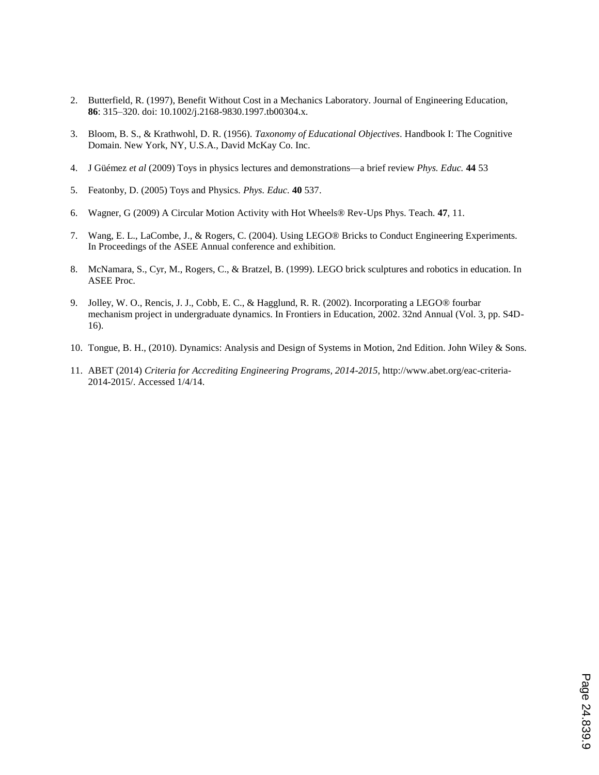- 2. Butterfield, R. (1997), Benefit Without Cost in a Mechanics Laboratory. Journal of Engineering Education, **86**: 315–320. doi: 10.1002/j.2168-9830.1997.tb00304.x.
- 3. Bloom, B. S., & Krathwohl, D. R. (1956). *Taxonomy of Educational Objectives*. Handbook I: The Cognitive Domain. New York, NY, U.S.A., David McKay Co. Inc.
- 4. J Güémez *et al* (2009) Toys in physics lectures and demonstrations—a brief review *Phys. Educ.* **44** 53
- 5. Featonby, D. (2005) Toys and Physics. *Phys. Educ.* **40** 537.
- 6. Wagner, G (2009) A Circular Motion Activity with Hot Wheels® Rev-Ups Phys. Teach. **47**, 11.
- 7. Wang, E. L., LaCombe, J., & Rogers, C. (2004). Using LEGO® Bricks to Conduct Engineering Experiments. In Proceedings of the ASEE Annual conference and exhibition.
- 8. McNamara, S., Cyr, M., Rogers, C., & Bratzel, B. (1999). LEGO brick sculptures and robotics in education. In ASEE Proc.
- 9. Jolley, W. O., Rencis, J. J., Cobb, E. C., & Hagglund, R. R. (2002). Incorporating a LEGO® fourbar mechanism project in undergraduate dynamics. In Frontiers in Education, 2002. 32nd Annual (Vol. 3, pp. S4D-16).
- 10. Tongue, B. H., (2010). Dynamics: Analysis and Design of Systems in Motion, 2nd Edition. John Wiley & Sons.
- 11. ABET (2014) *Criteria for Accrediting Engineering Programs, 2014-2015*, http://www.abet.org/eac-criteria-2014-2015/. Accessed 1/4/14.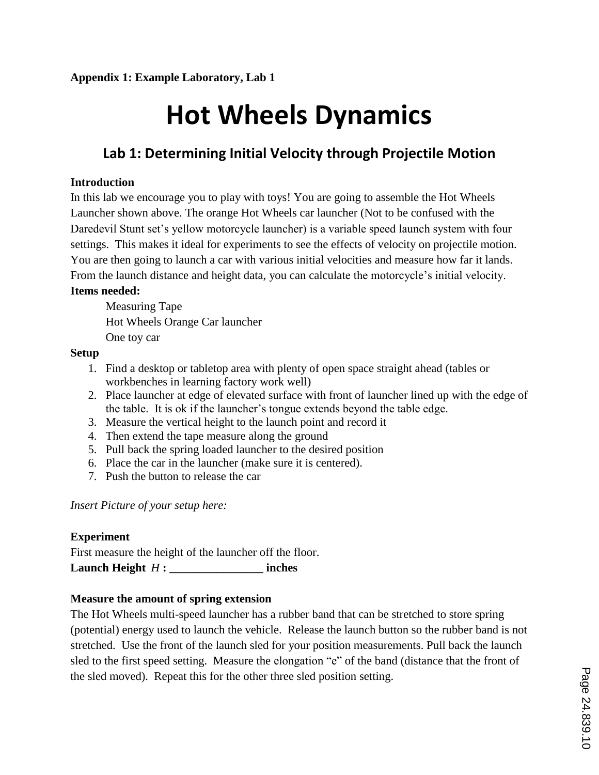# **Hot Wheels Dynamics**

# **Lab 1: Determining Initial Velocity through Projectile Motion**

#### **Introduction**

In this lab we encourage you to play with toys! You are going to assemble the Hot Wheels Launcher shown above. The orange Hot Wheels car launcher (Not to be confused with the Daredevil Stunt set's yellow motorcycle launcher) is a variable speed launch system with four settings. This makes it ideal for experiments to see the effects of velocity on projectile motion. You are then going to launch a car with various initial velocities and measure how far it lands. From the launch distance and height data, you can calculate the motorcycle's initial velocity.

#### **Items needed:**

Measuring Tape Hot Wheels Orange Car launcher One toy car

#### **Setup**

- 1. Find a desktop or tabletop area with plenty of open space straight ahead (tables or workbenches in learning factory work well)
- 2. Place launcher at edge of elevated surface with front of launcher lined up with the edge of the table. It is ok if the launcher's tongue extends beyond the table edge.
- 3. Measure the vertical height to the launch point and record it
- 4. Then extend the tape measure along the ground
- 5. Pull back the spring loaded launcher to the desired position
- 6. Place the car in the launcher (make sure it is centered).
- 7. Push the button to release the car

*Insert Picture of your setup here:* 

#### **Experiment**

First measure the height of the launcher off the floor. **Launch Height** *H* **: \_\_\_\_\_\_\_\_\_\_\_\_\_\_\_\_ inches**

#### **Measure the amount of spring extension**

The Hot Wheels multi-speed launcher has a rubber band that can be stretched to store spring (potential) energy used to launch the vehicle. Release the launch button so the rubber band is not stretched. Use the front of the launch sled for your position measurements. Pull back the launch sled to the first speed setting. Measure the elongation "e" of the band (distance that the front of the sled moved). Repeat this for the other three sled position setting.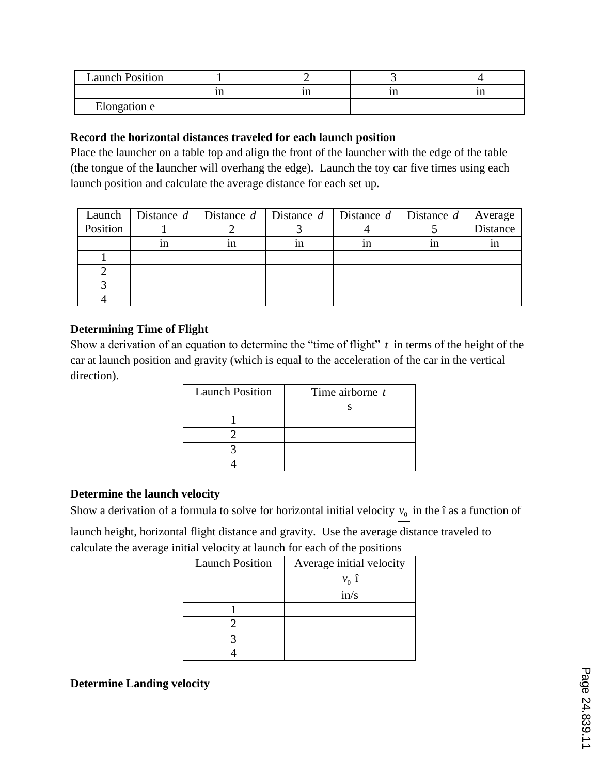| <b>Launch Position</b> |    |      |  |
|------------------------|----|------|--|
|                        | ın | <br> |  |
| Elongation e           |    |      |  |

#### **Record the horizontal distances traveled for each launch position**

Place the launcher on a table top and align the front of the launcher with the edge of the table (the tongue of the launcher will overhang the edge). Launch the toy car five times using each launch position and calculate the average distance for each set up.

| Launch   | Distance $d$ Distance $d$ Distance $d$ Distance $d$ Distance $d$ Distance $d$ Average |    |    |    |    |          |
|----------|---------------------------------------------------------------------------------------|----|----|----|----|----------|
| Position |                                                                                       |    |    |    |    | Distance |
|          | 1n                                                                                    | ın | 1n | 1n | 1n | 1n       |
|          |                                                                                       |    |    |    |    |          |
|          |                                                                                       |    |    |    |    |          |
|          |                                                                                       |    |    |    |    |          |
|          |                                                                                       |    |    |    |    |          |

#### **Determining Time of Flight**

Show a derivation of an equation to determine the "time of flight"  $t$  in terms of the height of the car at launch position and gravity (which is equal to the acceleration of the car in the vertical direction).

| <b>Launch Position</b> | Time airborne $t$ |  |  |
|------------------------|-------------------|--|--|
|                        |                   |  |  |
|                        |                   |  |  |
|                        |                   |  |  |
|                        |                   |  |  |
|                        |                   |  |  |

#### **Determine the launch velocity**

Show a derivation of a formula to solve for horizontal initial velocity  $v_0$  in the  $\hat{\mathbf{i}}$  as a function of

launch height, horizontal flight distance and gravity. Use the average distance traveled to calculate the average initial velocity at launch for each of the positions

| <b>Launch Position</b> | Average initial velocity |  |  |
|------------------------|--------------------------|--|--|
|                        | $v_0$ î                  |  |  |
|                        | in/s                     |  |  |
|                        |                          |  |  |
|                        |                          |  |  |
|                        |                          |  |  |
|                        |                          |  |  |

**Determine Landing velocity**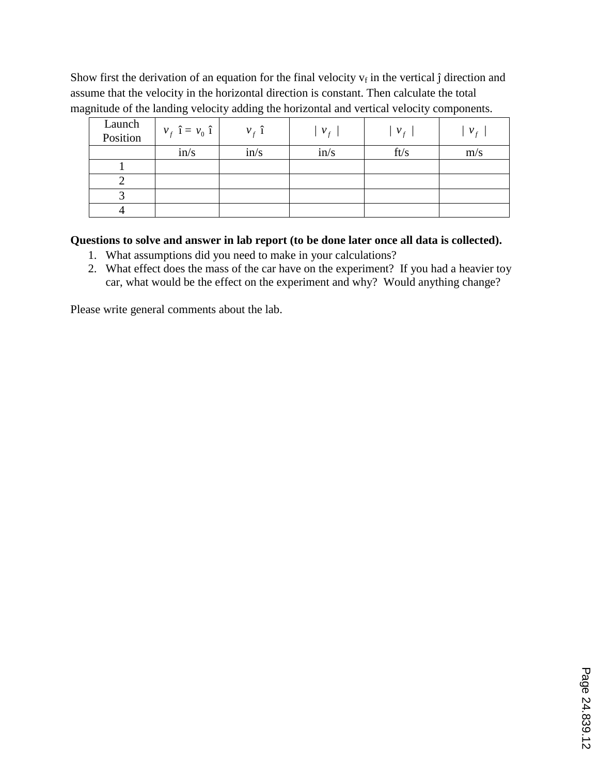Show first the derivation of an equation for the final velocity  $v_f$  in the vertical  $\hat{j}$  direction and assume that the velocity in the horizontal direction is constant. Then calculate the total magnitude of the landing velocity adding the horizontal and vertical velocity components.

| Launch<br>Position | $v_f$ î = $v_0$ î | $v_f$ î | v <sub>f</sub> | $V_{f}$ | v <sub>f</sub> |
|--------------------|-------------------|---------|----------------|---------|----------------|
|                    | in/s              | in/s    | in/s           | ft/s    | m/s            |
|                    |                   |         |                |         |                |
|                    |                   |         |                |         |                |
|                    |                   |         |                |         |                |
|                    |                   |         |                |         |                |

### **Questions to solve and answer in lab report (to be done later once all data is collected).**

- 1. What assumptions did you need to make in your calculations?
- 2. What effect does the mass of the car have on the experiment? If you had a heavier toy car, what would be the effect on the experiment and why? Would anything change?

Please write general comments about the lab.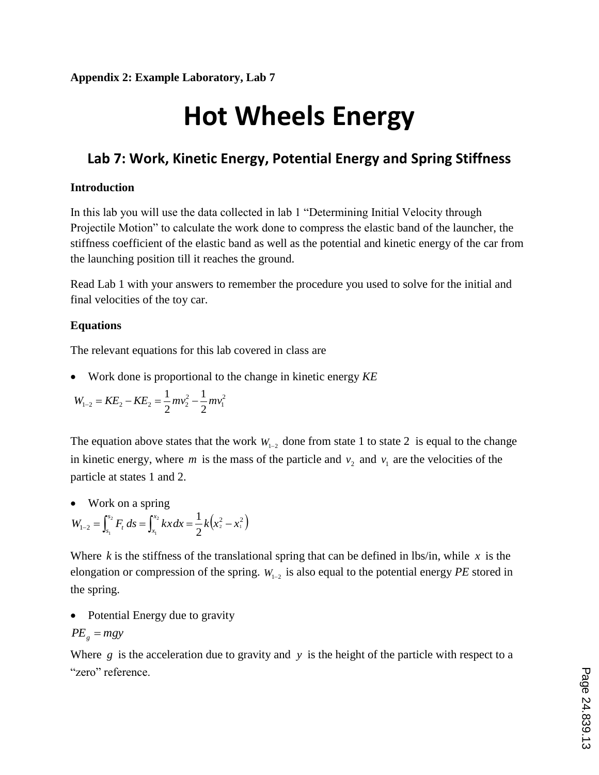# **Hot Wheels Energy**

# **Lab 7: Work, Kinetic Energy, Potential Energy and Spring Stiffness**

#### **Introduction**

In this lab you will use the data collected in lab 1 "Determining Initial Velocity through Projectile Motion" to calculate the work done to compress the elastic band of the launcher, the stiffness coefficient of the elastic band as well as the potential and kinetic energy of the car from the launching position till it reaches the ground.

Read Lab 1 with your answers to remember the procedure you used to solve for the initial and final velocities of the toy car.

### **Equations**

The relevant equations for this lab covered in class are

Work done is proportional to the change in kinetic energy *KE*

$$
W_{1-2} = KE_2 - KE_2 = \frac{1}{2} m v_2^2 - \frac{1}{2} m v_1^2
$$

The equation above states that the work  $W_{1-2}$  done from state 1 to state 2 is equal to the change in kinetic energy, where *m* is the mass of the particle and  $v_2$  and  $v_1$  are the velocities of the particle at states 1 and 2.

Work on a spring

$$
W_{1-2} = \int_{s_1}^{s_2} F_t ds = \int_{x_1}^{x_2} kx dx = \frac{1}{2} k (x_2^2 - x_1^2)
$$

Where  $k$  is the stiffness of the translational spring that can be defined in lbs/in, while  $x$  is the elongation or compression of the spring.  $W_{1-2}$  is also equal to the potential energy *PE* stored in the spring.

• Potential Energy due to gravity

$$
PE_{g} = mgy
$$

Where  $g$  is the acceleration due to gravity and  $y$  is the height of the particle with respect to a "zero" reference.